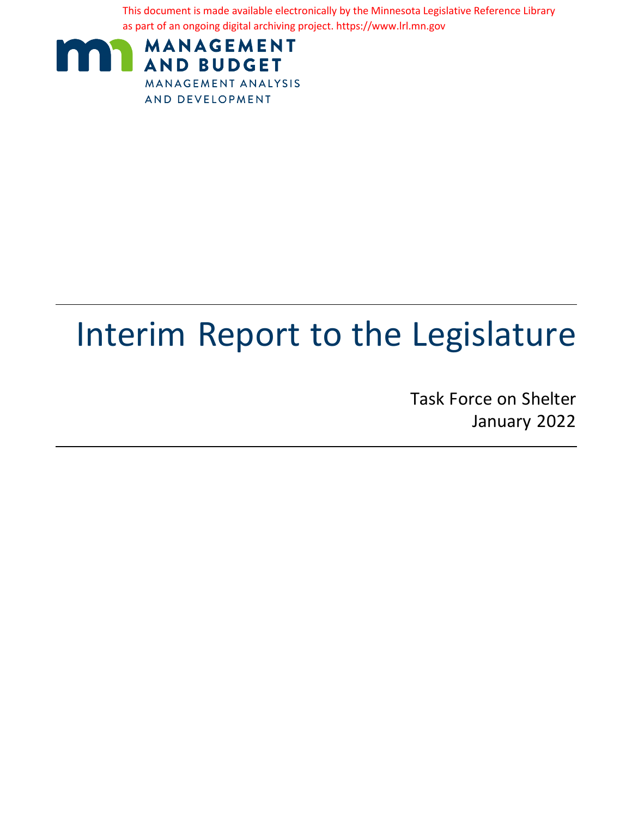This document is made available electronically by the Minnesota Legislative Reference Library as part of an ongoing digital archiving project. https://www.lrl.mn.gov



# Interim Report to the Legislature

Task Force on Shelter January 2022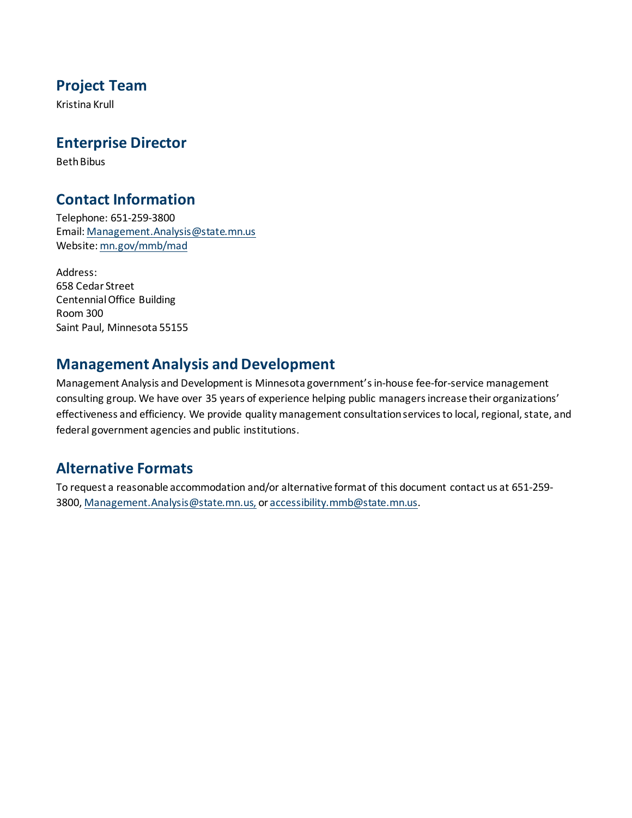### **Project Team**

Kristina Krull

### **Enterprise Director**

Beth Bibus

### **Contact Information**

Telephone: 651-259-3800 Email: Management.Analysis@state.mn.us Website: mn.gov/mmb/mad

Address: 658 Cedar Street Centennial Office Building Room 300 Saint Paul, Minnesota 55155

### **Management Analysis and Development**

Management Analysis and Development is Minnesota government's in-house fee-for-service management consulting group. We have over 35 years of experience helping public managers increase their organizations' effectiveness and efficiency. We provide quality management consultation services to local, regional, state, and federal government agencies and public institutions.

### **Alternative Formats**

To request a reasonable accommodation and/or alternative format of this document contact us at 651-259- 3800, Management.Analysis@state.mn.us, or [accessibility.mmb@state.mn.us](mailto:accessibility.mmb@state.mn.us).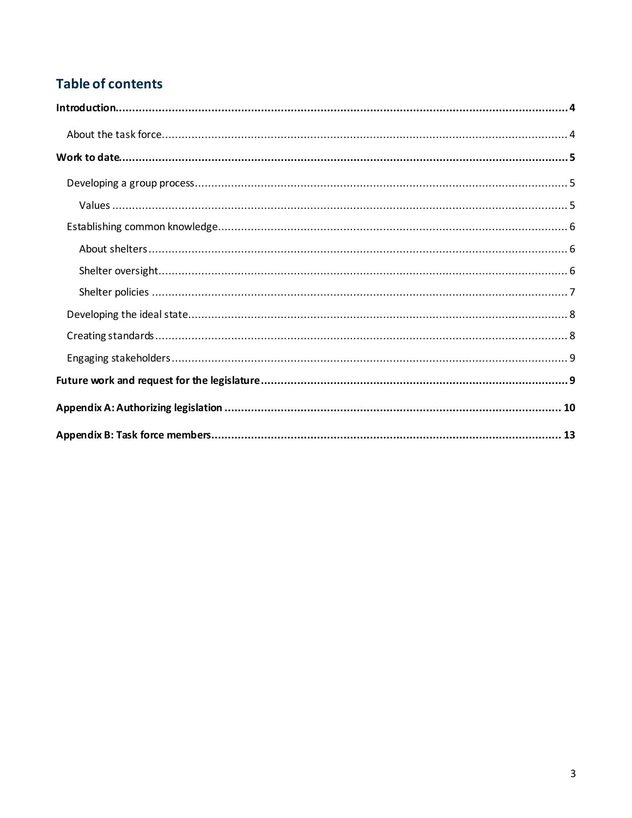## **Table of contents**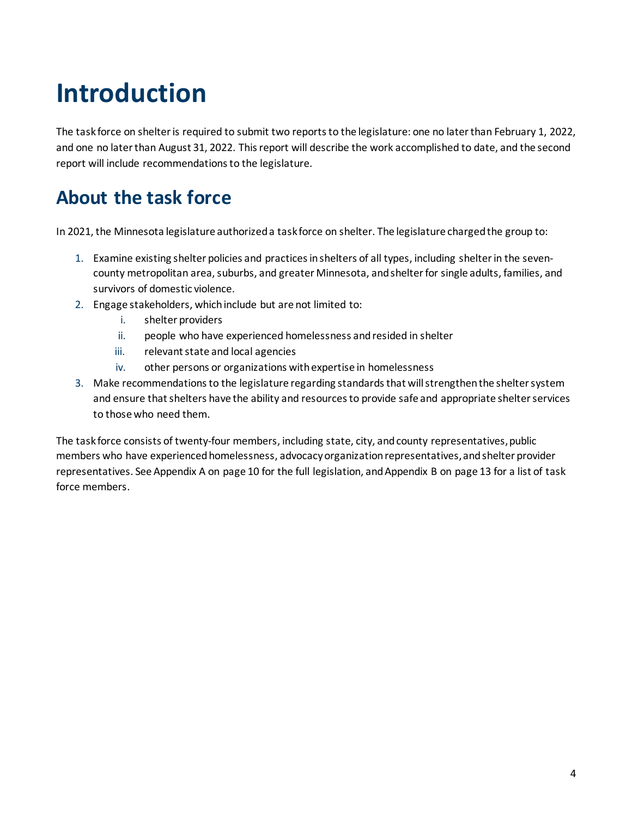# <span id="page-3-0"></span>**Introduction**

The task force on shelter is required to submit two reports to the legislature: one no later than February 1, 2022, and one no later than August 31, 2022. This report will describe the work accomplished to date, and the second report will include recommendations to the legislature.

## <span id="page-3-1"></span>**About the task force**

In 2021, the Minnesota legislature authorized a task force on shelter. The legislature charged the group to:

- 1. Examine existing shelter policies and practices in shelters of all types, including shelter in the sevencounty metropolitan area, suburbs, and greater Minnesota, and shelter for single adults, families, and survivors of domestic violence.
- 2. Engage stakeholders, which include but are not limited to:
	- i. shelter providers
	- ii. people who have experienced homelessness and resided in shelter
	- iii. relevant state and local agencies
	- iv. other persons or organizations with expertise in homelessness
- 3. Make recommendations to the legislature regarding standards that will strengthen the shelter system and ensure that shelters have the ability and resources to provide safe and appropriate shelter services to those who need them.

The task force consists of twenty-four members, including state, city, and county representatives, public members who have experienced homelessness, advocacy organization representatives, and shelter provider representatives. See Appendix A on pag[e 10](#page-9-0) for the full legislation, and Appendix B on pag[e 13](#page-12-0) for a list of task force members.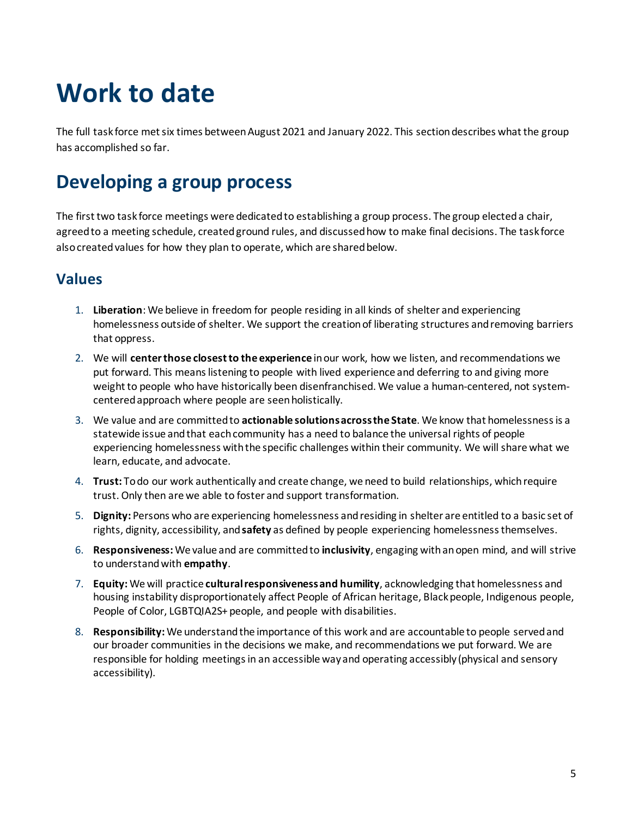# <span id="page-4-0"></span>**Work to date**

The full task force met six times between August 2021 and January 2022. This section describes what the group has accomplished so far.

# <span id="page-4-1"></span>**Developing a group process**

The first two task force meetings were dedicated to establishing a group process. The group elected a chair, agreed to a meeting schedule, created ground rules, and discussed how to make final decisions. The task force also created values for how they plan to operate, which are shared below.

### <span id="page-4-2"></span>**Values**

- 1. **Liberation**: We believe in freedom for people residing in all kinds of shelter and experiencing homelessness outside of shelter. We support the creation of liberating structures and removing barriers that oppress.
- 2. We will **center those closest to the experience** in our work, how we listen, and recommendations we put forward. This means listening to people with lived experience and deferring to and giving more weight to people who have historically been disenfranchised. We value a human-centered, not systemcentered approach where people are seen holistically.
- 3. We value and are committed to **actionable solutions across the State**. We know that homelessness is a statewide issue and that each community has a need to balance the universal rights of people experiencing homelessness with the specific challenges within their community. We will share what we learn, educate, and advocate.
- 4. **Trust:** To do our work authentically and create change, we need to build relationships, which require trust. Only then are we able to foster and support transformation.
- 5. **Dignity:** Persons who are experiencing homelessness and residing in shelter are entitled to a basic set of rights, dignity, accessibility, and **safety** as defined by people experiencing homelessness themselves.
- 6. **Responsiveness:** We value and are committed to **inclusivity**, engaging with an open mind, and will strive to understand with **empathy**.
- 7. **Equity:** We will practice **cultural responsiveness and humility**, acknowledging that homelessness and housing instability disproportionately affect People of African heritage, Black people, Indigenous people, People of Color, LGBTQIA2S+ people, and people with disabilities.
- 8. **Responsibility:** We understand the importance of this work and are accountable to people served and our broader communities in the decisions we make, and recommendations we put forward. We are responsible for holding meetings in an accessible way and operating accessibly (physical and sensory accessibility).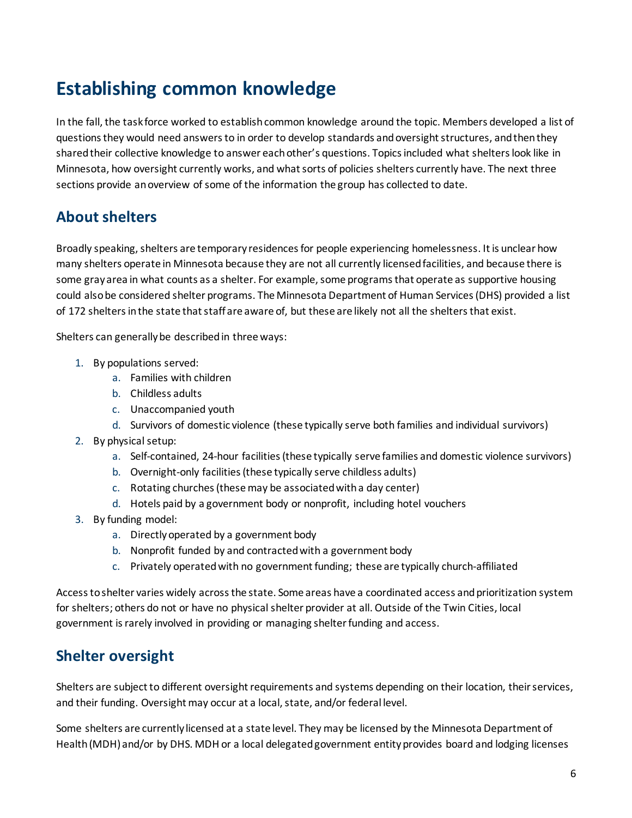# <span id="page-5-0"></span>**Establishing common knowledge**

In the fall, the task force worked to establish common knowledge around the topic. Members developed a list of questions they would need answers to in order to develop standards and oversight structures, and then they shared their collective knowledge to answer each other's questions. Topics included what shelters look like in Minnesota, how oversight currently works, and what sorts of policies shelters currently have. The next three sections provide an overview of some of the information the group has collected to date.

## <span id="page-5-1"></span>**About shelters**

Broadly speaking, shelters are temporary residences for people experiencing homelessness. It is unclear how many shelters operate in Minnesota because they are not all currently licensed facilities, and because there is some gray area in what counts as a shelter. For example, some programs that operate as supportive housing could also be considered shelter programs. The Minnesota Department of Human Services (DHS) provided a list of 172 shelters in the state that staff are aware of, but these are likely not all the shelters that exist.

Shelters can generally be described in three ways:

- 1. By populations served:
	- a. Families with children
	- b. Childless adults
	- c. Unaccompanied youth
	- d. Survivors of domestic violence (these typically serve both families and individual survivors)
- 2. By physical setup:
	- a. Self-contained, 24-hour facilities (these typically serve families and domestic violence survivors)
	- b. Overnight-only facilities (these typically serve childless adults)
	- c. Rotating churches (these may be associated with a day center)
	- d. Hotels paid by a government body or nonprofit, including hotel vouchers
- 3. By funding model:
	- a. Directly operated by a government body
	- b. Nonprofit funded by and contracted with a government body
	- c. Privately operated with no government funding; these are typically church-affiliated

Access to shelter varies widely across the state. Some areas have a coordinated access and prioritization system for shelters; others do not or have no physical shelter provider at all. Outside of the Twin Cities, local government is rarely involved in providing or managing shelter funding and access.

### <span id="page-5-2"></span>**Shelter oversight**

Shelters are subject to different oversight requirements and systems depending on their location, their services, and their funding. Oversight may occur at a local, state, and/or federal level.

Some shelters are currently licensed at a state level. They may be licensed by the Minnesota Department of Health (MDH) and/or by DHS. MDH or a local delegated government entity provides board and lodging licenses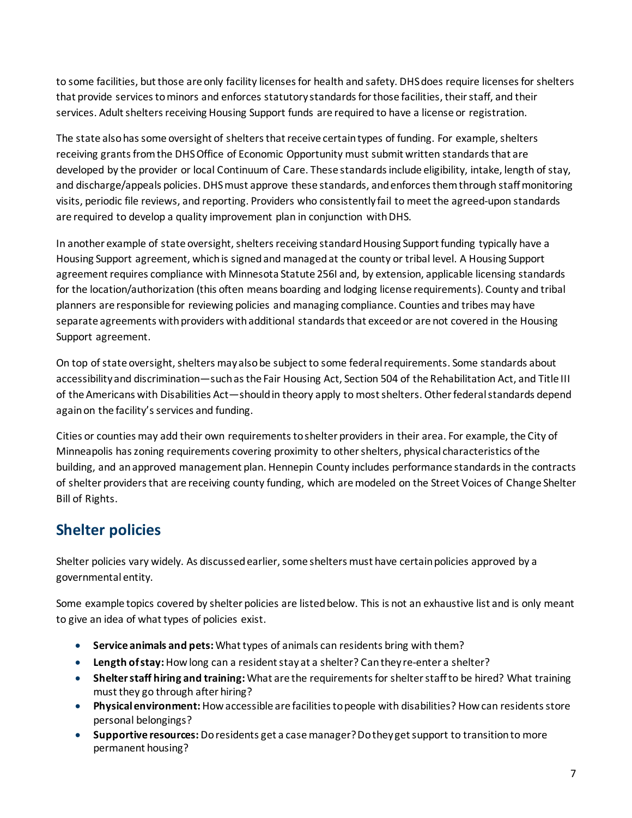to some facilities, but those are only facility licenses for health and safety. DHS does require licenses for shelters that provide services to minors and enforces statutory standards for those facilities, their staff, and their services. Adult shelters receiving Housing Support funds are required to have a license or registration.

The state also has some oversight of shelters that receive certain types of funding. For example, shelters receiving grants from the DHS Office of Economic Opportunity must submit written standards that are developed by the provider or local Continuum of Care. These standards include eligibility, intake, length of stay, and discharge/appeals policies. DHS must approve these standards, and enforces them through staff monitoring visits, periodic file reviews, and reporting. Providers who consistently fail to meet the agreed-upon standards are required to develop a quality improvement plan in conjunction with DHS.

In another example of state oversight, shelters receiving standard Housing Support funding typically have a Housing Support agreement, which is signed and managed at the county or tribal level. A Housing Support agreement requires compliance with Minnesota Statute 256I and, by extension, applicable licensing standards for the location/authorization (this often means boarding and lodging license requirements). County and tribal planners are responsible for reviewing policies and managing compliance. Counties and tribes may have separate agreements with providers with additional standards that exceed or are not covered in the Housing Support agreement.

On top of state oversight, shelters may also be subject to some federal requirements. Some standards about accessibility and discrimination—such asthe Fair Housing Act, Section 504 of the Rehabilitation Act, and Title III of the Americans with Disabilities Act—should in theory apply to most shelters. Other federal standards depend again on the facility's services and funding.

Cities or counties may add their own requirements to shelter providers in their area. For example, the City of Minneapolis has zoning requirements covering proximity to other shelters, physical characteristics of the building, and an approved management plan. Hennepin County includes performance standards in the contracts of shelter providers that are receiving county funding, which are modeled on the Street Voices of Change Shelter Bill of Rights.

## <span id="page-6-0"></span>**Shelter policies**

Shelter policies vary widely. As discussed earlier, some shelters must have certain policies approved by a governmental entity.

Some example topics covered by shelter policies are listed below. This is not an exhaustive list and is only meant to give an idea of what types of policies exist.

- **Service animals and pets:** What types of animals can residents bring with them?
- **Length of stay:** How long can a resident stay at a shelter? Can they re-enter a shelter?
- **Shelter staff hiring and training:** What are the requirements for shelter staff to be hired? What training must they go through after hiring?
- **Physical environment:** How accessible are facilities to people with disabilities? How can residents store personal belongings?
- **Supportive resources:** Do residents get a case manager? Do they get support to transition to more permanent housing?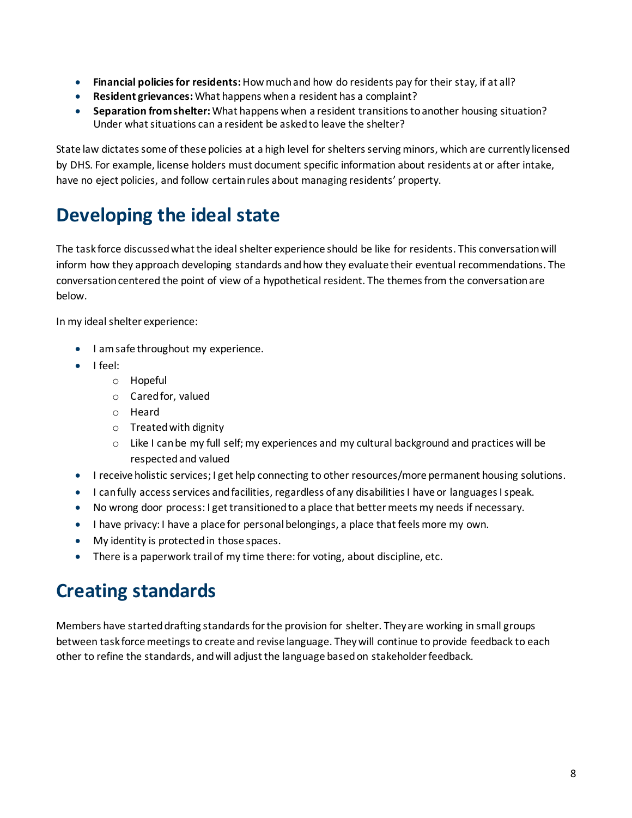- **Financial policies for residents:**How much and how do residents pay for their stay, if at all?
- **Resident grievances:** What happens when a resident has a complaint?
- **Separation from shelter:** What happens when a resident transitions to another housing situation? Under what situations can a resident be asked to leave the shelter?

State law dictates some of these policies at a high level for shelters serving minors, which are currently licensed by DHS. For example, license holders must document specific information about residents at or after intake, have no eject policies, and follow certain rules about managing residents' property.

# <span id="page-7-0"></span>**Developing the ideal state**

The task force discussedwhat the ideal shelter experience should be like for residents. This conversation will inform how they approach developing standards and how they evaluate their eventual recommendations. The conversation centered the point of view of a hypothetical resident. The themes from the conversation are below.

In my ideal shelter experience:

- I am safe throughout my experience.
- I feel:
	- o Hopeful
	- o Cared for, valued
	- o Heard
	- o Treated with dignity
	- $\circ$  Like I can be my full self; my experiences and my cultural background and practices will be respected and valued
- I receive holistic services; I get help connecting to other resources/more permanent housing solutions.
- I can fully access services and facilities, regardless of any disabilities I have or languages I speak.
- No wrong door process: I get transitioned to a place that better meets my needs if necessary.
- I have privacy: I have a place for personal belongings, a place that feels more my own.
- My identity is protected in those spaces.
- There is a paperwork trail of my time there: for voting, about discipline, etc.

## <span id="page-7-1"></span>**Creating standards**

Members have started drafting standards for the provision for shelter. They are working in small groups between task force meetings to create and revise language. They will continue to provide feedback to each other to refine the standards, and will adjust the language based on stakeholder feedback.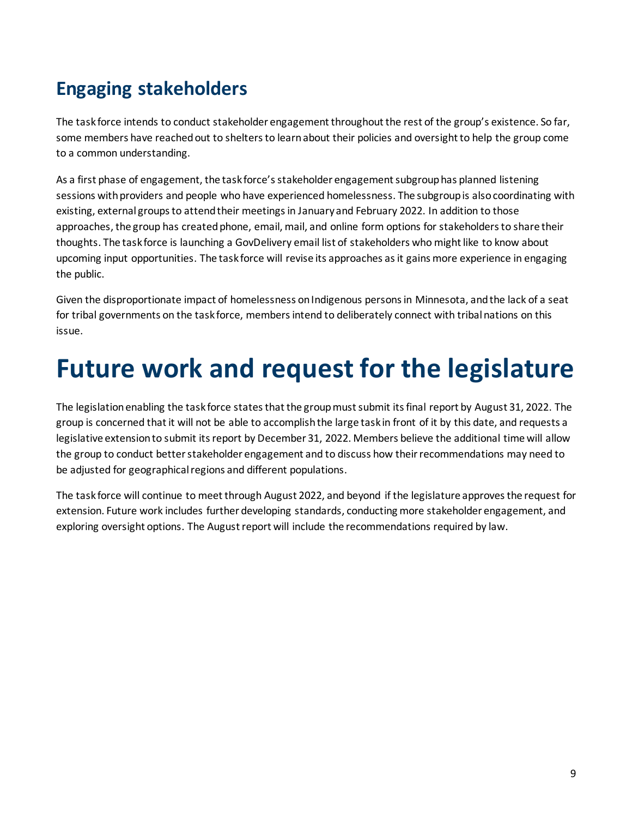# <span id="page-8-0"></span>**Engaging stakeholders**

The task force intends to conduct stakeholder engagement throughout the rest of the group's existence. So far, some members have reached out to shelters to learn about their policies and oversight to help the group come to a common understanding.

As a first phase of engagement, the task force's stakeholder engagement subgrouphas planned listening sessions with providers and people who have experienced homelessness. The subgroup is also coordinating with existing, external groups to attend their meetings in January and February 2022. In addition to those approaches, the group has created phone, email, mail, and online form options for stakeholders to share their thoughts. The task force is launching a GovDelivery email list of stakeholders who might like to know about upcoming input opportunities. The task force will revise its approaches as it gains more experience in engaging the public.

Given the disproportionate impact of homelessness on Indigenous persons in Minnesota, and the lack of a seat for tribal governments on the task force, members intend to deliberately connect with tribal nations on this issue.

# <span id="page-8-1"></span>**Future work and request for the legislature**

The legislation enabling the task force states that the group must submit its final report by August 31, 2022. The group is concerned that it will not be able to accomplish the large task in front of it by this date, and requests a legislative extension to submit its report by December 31, 2022. Members believe the additional time will allow the group to conduct better stakeholder engagement and to discuss how their recommendations may need to be adjusted for geographical regions and different populations.

The task force will continue to meet through August 2022, and beyond if the legislature approves the request for extension. Future work includes further developing standards, conducting more stakeholder engagement, and exploring oversight options. The August report will include the recommendations required by law.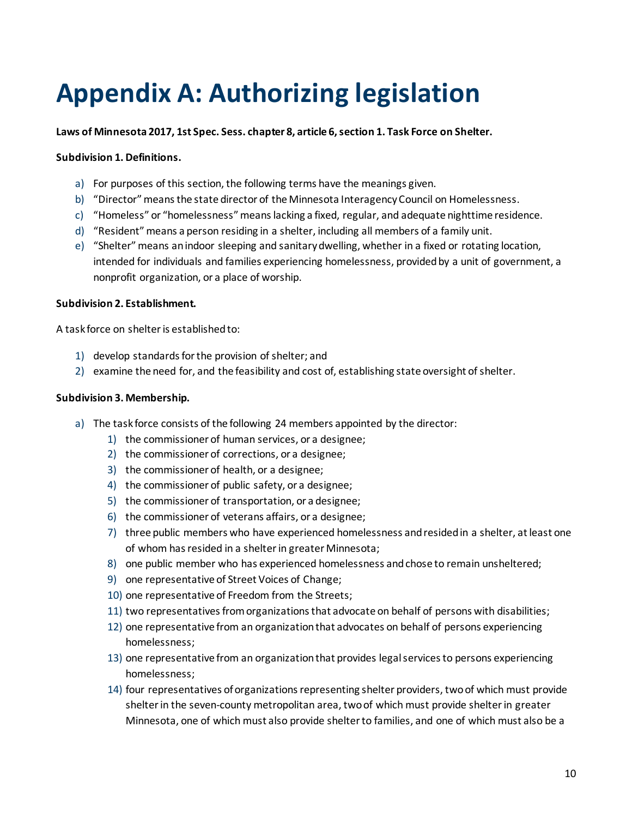# <span id="page-9-0"></span>**Appendix A: Authorizing legislation**

**Laws of Minnesota 2017, 1st Spec. Sess. chapter 8, article 6, section 1. Task Force on Shelter.**

#### **Subdivision 1. Definitions.**

- a) For purposes of this section, the following terms have the meanings given.
- b) "Director"means the state director of the Minnesota Interagency Council on Homelessness.
- c) "Homeless" or "homelessness"means lacking a fixed, regular, and adequate nighttime residence.
- d) "Resident"means a person residing in a shelter, including all members of a family unit.
- e) "Shelter"means an indoor sleeping and sanitary dwelling, whether in a fixed or rotating location, intended for individuals and families experiencing homelessness, provided by a unit of government, a nonprofit organization, or a place of worship.

#### **Subdivision 2. Establishment.**

A task force on shelter is established to:

- 1) develop standards for the provision of shelter; and
- 2) examine the need for, and the feasibility and cost of, establishing state oversight of shelter.

#### **Subdivision 3. Membership.**

- a) The task force consists of the following 24 members appointed by the director:
	- 1) the commissioner of human services, or a designee;
	- 2) the commissioner of corrections, or a designee;
	- 3) the commissioner of health, or a designee;
	- 4) the commissioner of public safety, or a designee;
	- 5) the commissioner of transportation, or a designee;
	- 6) the commissioner of veterans affairs, or a designee;
	- 7) three public members who have experienced homelessness and resided in a shelter, at least one of whom has resided in a shelter in greater Minnesota;
	- 8) one public member who has experienced homelessness and chose to remain unsheltered;
	- 9) one representative of Street Voices of Change;
	- 10) one representative of Freedom from the Streets;
	- 11) two representatives from organizations that advocate on behalf of persons with disabilities;
	- 12) one representative from an organization that advocates on behalf of persons experiencing homelessness;
	- 13) one representative from an organization that provides legal services to persons experiencing homelessness;
	- 14) four representatives of organizations representing shelter providers, two of which must provide shelter in the seven-county metropolitan area, two of which must provide shelter in greater Minnesota, one of which must also provide shelter to families, and one of which must also be a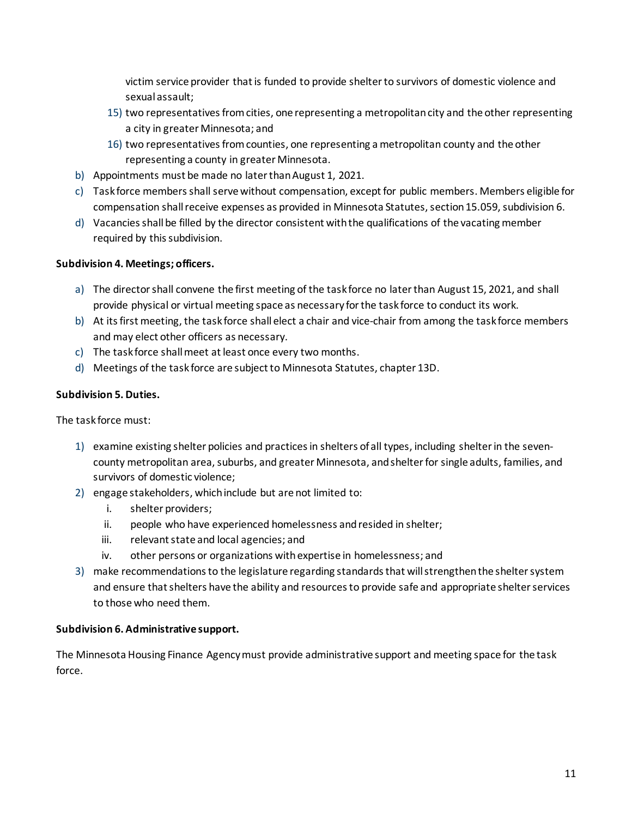victim service provider that is funded to provide shelter to survivors of domestic violence and sexual assault;

- 15) two representatives from cities, one representing a metropolitan city and the other representing a city in greater Minnesota; and
- 16) two representatives from counties, one representing a metropolitan county and the other representing a county in greater Minnesota.
- b) Appointments must be made no later than August 1, 2021.
- c) Task force members shall serve without compensation, except for public members. Members eligible for compensation shall receive expenses as provided in Minnesota Statutes, section 15.059, subdivision 6.
- d) Vacancies shall be filled by the director consistent with the qualifications of the vacating member required by this subdivision.

#### **Subdivision 4. Meetings; officers.**

- a) The director shall convene the first meeting of the task force no later than August 15, 2021, and shall provide physical or virtual meeting space as necessary for the task force to conduct its work.
- b) At its first meeting, the task force shall elect a chair and vice-chair from among the task force members and may elect other officers as necessary.
- c) The task force shall meet at least once every two months.
- d) Meetings of the task force are subject to Minnesota Statutes, chapter 13D.

### **Subdivision 5. Duties.**

The task force must:

- 1) examine existing shelter policies and practices in shelters of all types, including shelter in the sevencounty metropolitan area, suburbs, and greater Minnesota, and shelter for single adults, families, and survivors of domestic violence;
- 2) engage stakeholders, which include but are not limited to:
	- i. shelter providers;
	- ii. people who have experienced homelessness and resided in shelter;
	- iii. relevant state and local agencies; and
	- iv. other persons or organizations with expertise in homelessness; and
- 3) make recommendations to the legislature regarding standards that will strengthen the shelter system and ensure that shelters have the ability and resources to provide safe and appropriate shelter services to those who need them.

#### **Subdivision 6. Administrative support.**

The Minnesota Housing Finance Agency must provide administrative support and meeting space for the task force.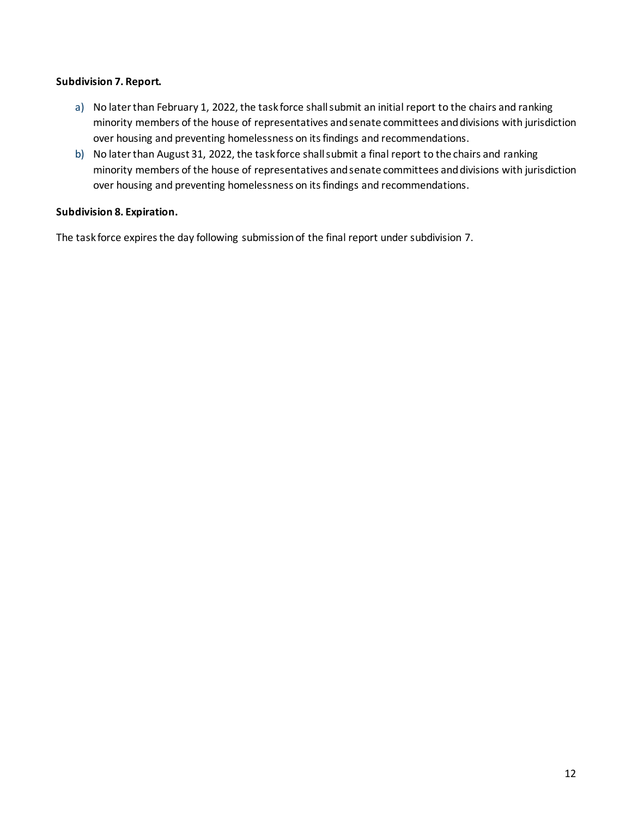#### **Subdivision 7. Report.**

- a) No later than February 1, 2022, the task force shall submit an initial report to the chairs and ranking minority members of the house of representatives and senate committees and divisions with jurisdiction over housing and preventing homelessness on its findings and recommendations.
- b) No later than August 31, 2022, the task force shall submit a final report to the chairs and ranking minority members of the house of representatives and senate committees and divisions with jurisdiction over housing and preventing homelessness on its findings and recommendations.

#### **Subdivision 8. Expiration.**

The task force expires the day following submission of the final report under subdivision 7.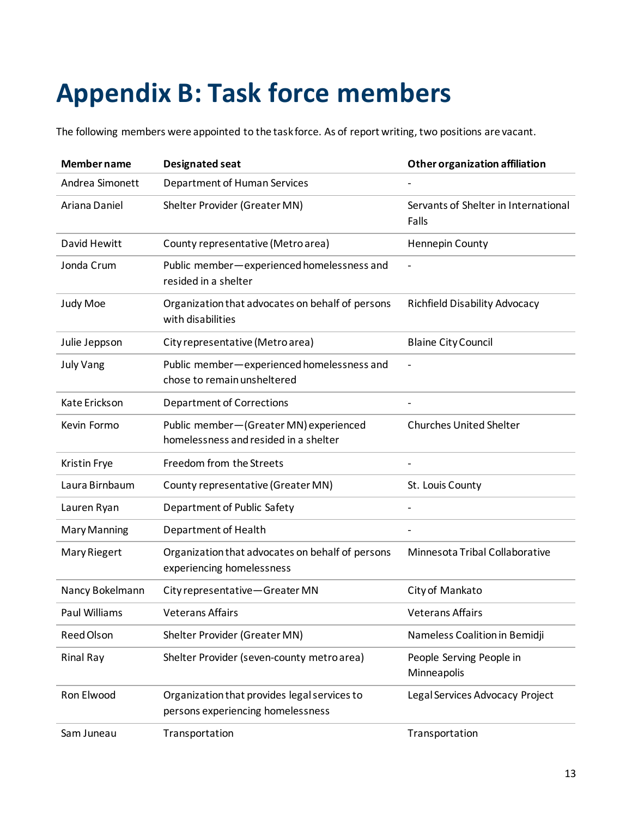# <span id="page-12-0"></span>**Appendix B: Task force members**

The following members were appointed to the task force. As of report writing, two positions are vacant.

| <b>Member name</b>  | Designated seat                                                                   | <b>Other organization affiliation</b>         |
|---------------------|-----------------------------------------------------------------------------------|-----------------------------------------------|
| Andrea Simonett     | Department of Human Services                                                      |                                               |
| Ariana Daniel       | Shelter Provider (Greater MN)                                                     | Servants of Shelter in International<br>Falls |
| David Hewitt        | County representative (Metro area)                                                | Hennepin County                               |
| Jonda Crum          | Public member-experienced homelessness and<br>resided in a shelter                |                                               |
| Judy Moe            | Organization that advocates on behalf of persons<br>with disabilities             | <b>Richfield Disability Advocacy</b>          |
| Julie Jeppson       | City representative (Metro area)                                                  | <b>Blaine City Council</b>                    |
| <b>July Vang</b>    | Public member-experienced homelessness and<br>chose to remain unsheltered         |                                               |
| Kate Erickson       | <b>Department of Corrections</b>                                                  |                                               |
| Kevin Formo         | Public member-(Greater MN) experienced<br>homelessness and resided in a shelter   | <b>Churches United Shelter</b>                |
| Kristin Frye        | Freedom from the Streets                                                          |                                               |
| Laura Birnbaum      | County representative (Greater MN)                                                | St. Louis County                              |
| Lauren Ryan         | Department of Public Safety                                                       |                                               |
| <b>Mary Manning</b> | Department of Health                                                              |                                               |
| Mary Riegert        | Organization that advocates on behalf of persons<br>experiencing homelessness     | Minnesota Tribal Collaborative                |
| Nancy Bokelmann     | City representative-Greater MN                                                    | City of Mankato                               |
| Paul Williams       | <b>Veterans Affairs</b>                                                           | <b>Veterans Affairs</b>                       |
| Reed Olson          | Shelter Provider (Greater MN)                                                     | Nameless Coalition in Bemidji                 |
| <b>Rinal Ray</b>    | Shelter Provider (seven-county metro area)                                        | People Serving People in<br>Minneapolis       |
| Ron Elwood          | Organization that provides legal services to<br>persons experiencing homelessness | Legal Services Advocacy Project               |
| Sam Juneau          | Transportation                                                                    | Transportation                                |